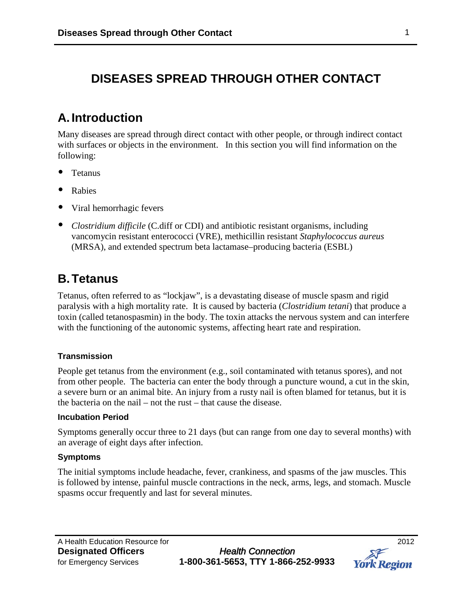## **DISEASES SPREAD THROUGH OTHER CONTACT**

# **A. Introduction**

Many diseases are spread through direct contact with other people, or through indirect contact with surfaces or objects in the environment. In this section you will find information on the following:

- Tetanus
- Rabies
- Viral hemorrhagic fevers
- *Clostridium difficile* (C.diff or CDI) and antibiotic resistant organisms, including vancomycin resistant enterococci (VRE), methicillin resistant *Staphylococcus aureus*  (MRSA), and extended spectrum beta lactamase–producing bacteria (ESBL)

## **B.Tetanus**

Tetanus, often referred to as "lockjaw", is a devastating disease of muscle spasm and rigid paralysis with a high mortality rate. It is caused by bacteria (*Clostridium tetani*) that produce a toxin (called tetanospasmin) in the body. The toxin attacks the nervous system and can interfere with the functioning of the autonomic systems, affecting heart rate and respiration.

### **Transmission**

People get tetanus from the environment (e.g., soil contaminated with tetanus spores), and not from other people. The bacteria can enter the body through a puncture wound, a cut in the skin, a severe burn or an animal bite. An injury from a rusty nail is often blamed for tetanus, but it is the bacteria on the nail – not the rust – that cause the disease.

#### **Incubation Period**

Symptoms generally occur three to 21 days (but can range from one day to several months) with an average of eight days after infection.

#### **Symptoms**

The initial symptoms include headache, fever, crankiness, and spasms of the jaw muscles. This is followed by intense, painful muscle contractions in the neck, arms, legs, and stomach. Muscle spasms occur frequently and last for several minutes.

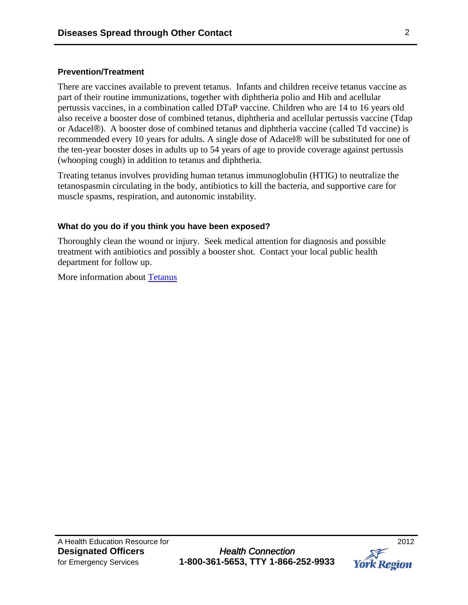### **Prevention/Treatment**

There are vaccines available to prevent tetanus. Infants and children receive tetanus vaccine as part of their routine immunizations, together with diphtheria polio and Hib and acellular pertussis vaccines, in a combination called DTaP vaccine. Children who are 14 to 16 years old also receive a booster dose of combined tetanus, diphtheria and acellular pertussis vaccine (Tdap or Adacel®). A booster dose of combined tetanus and diphtheria vaccine (called Td vaccine) is recommended every 10 years for adults. A single dose of Adacel® will be substituted for one of the ten-year booster doses in adults up to 54 years of age to provide coverage against pertussis (whooping cough) in addition to tetanus and diphtheria.

Treating tetanus involves providing human tetanus immunoglobulin (HTIG) to neutralize the tetanospasmin circulating in the body, antibiotics to kill the bacteria, and supportive care for muscle spasms, respiration, and autonomic instability.

#### **What do you do if you think you have been exposed?**

Thoroughly clean the wound or injury. Seek medical attention for diagnosis and possible treatment with antibiotics and possibly a booster shot. Contact your local public health department for follow up.

More information about [Tetanus](http://www.york.ca/NR/rdonlyres/yec5qiphwlt6ipjrnk5me3sxpaq3hn4kxnddzboymvlynrevadhvpvnyeomdgg4r6t3ao32wo4dykmid2o4s52tlwa/4844_Tetanus1.pdf)

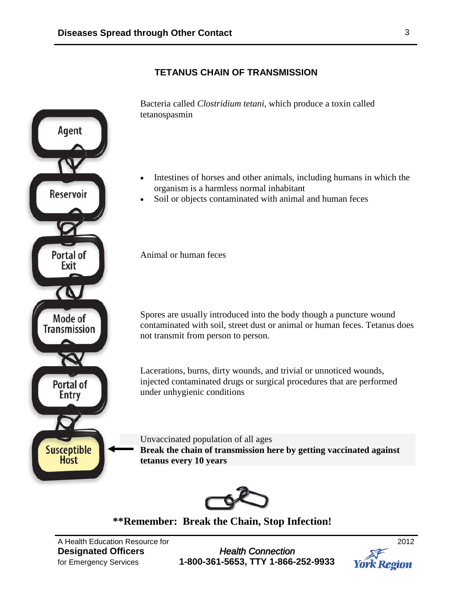## **TETANUS CHAIN OF TRANSMISSION**



**\*\*Remember: Break the Chain, Stop Infection!**

A Health Education Resource for 2012

**Designated Officers** *Health Connection* for Emergency Services **1-800-361-5653, TTY 1-866-252-9933**  **York Region**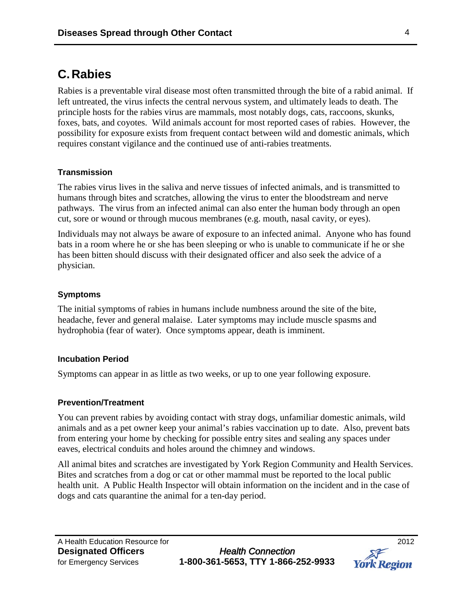# **C.Rabies**

Rabies is a preventable viral disease most often transmitted through the bite of a rabid animal. If left untreated, the virus infects the central nervous system, and ultimately leads to death. The principle hosts for the rabies virus are mammals, most notably dogs, cats, raccoons, skunks, foxes, bats, and coyotes. Wild animals account for most reported cases of rabies. However, the possibility for exposure exists from frequent contact between wild and domestic animals, which requires constant vigilance and the continued use of anti-rabies treatments.

### **Transmission**

The rabies virus lives in the saliva and nerve tissues of infected animals, and is transmitted to humans through bites and scratches, allowing the virus to enter the bloodstream and nerve pathways. The virus from an infected animal can also enter the human body through an open cut, sore or wound or through mucous membranes (e.g. mouth, nasal cavity, or eyes).

Individuals may not always be aware of exposure to an infected animal. Anyone who has found bats in a room where he or she has been sleeping or who is unable to communicate if he or she has been bitten should discuss with their designated officer and also seek the advice of a physician.

#### **Symptoms**

The initial symptoms of rabies in humans include numbness around the site of the bite, headache, fever and general malaise. Later symptoms may include muscle spasms and hydrophobia (fear of water). Once symptoms appear, death is imminent.

#### **Incubation Period**

Symptoms can appear in as little as two weeks, or up to one year following exposure.

#### **Prevention/Treatment**

You can prevent rabies by avoiding contact with stray dogs, unfamiliar domestic animals, wild animals and as a pet owner keep your animal's rabies vaccination up to date. Also, prevent bats from entering your home by checking for possible entry sites and sealing any spaces under eaves, electrical conduits and holes around the chimney and windows.

All animal bites and scratches are investigated by York Region Community and Health Services. Bites and scratches from a dog or cat or other mammal must be reported to the local public health unit. A Public Health Inspector will obtain information on the incident and in the case of dogs and cats quarantine the animal for a ten-day period.

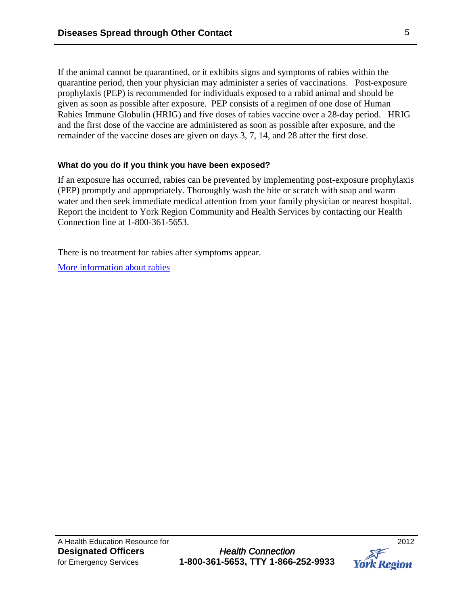If the animal cannot be quarantined, or it exhibits signs and symptoms of rabies within the quarantine period, then your physician may administer a series of vaccinations. Post-exposure prophylaxis (PEP) is recommended for individuals exposed to a rabid animal and should be given as soon as possible after exposure. PEP consists of a regimen of one dose of Human Rabies Immune Globulin (HRIG) and five doses of rabies vaccine over a 28-day period. HRIG and the first dose of the vaccine are administered as soon as possible after exposure, and the remainder of the vaccine doses are given on days 3, 7, 14, and 28 after the first dose.

### **What do you do if you think you have been exposed?**

If an exposure has occurred, rabies can be prevented by implementing post-exposure prophylaxis (PEP) promptly and appropriately. Thoroughly wash the bite or scratch with soap and warm water and then seek immediate medical attention from your family physician or nearest hospital. Report the incident to York Region Community and Health Services by contacting our Health Connection line at 1-800-361-5653.

There is no treatment for rabies after symptoms appear.

[More information about rabies](http://www.york.ca/NR/rdonlyres/ggz7uly2ajksfsk5fltxrpjefcmnqe5nqymhugfrtbcmzpbat4ywydr22lo4bo75dqghly2xzkidlybsn2vtr4sqyd/Rabies+Pamphlet.pdf)

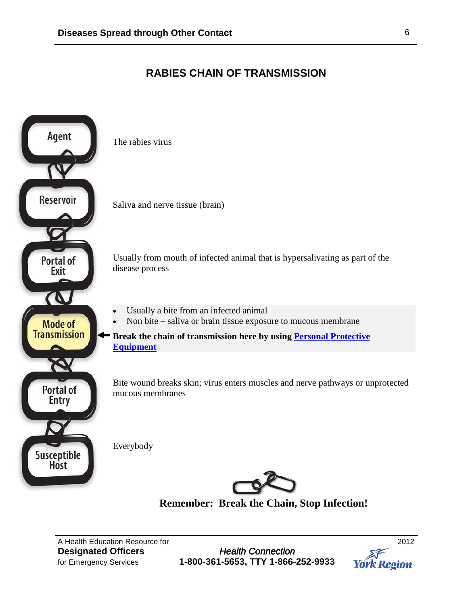## **RABIES CHAIN OF TRANSMISSION**



**Remember: Break the Chain, Stop Infection!**

A Health Education Resource for<br> **Designated Officers**2012 **Designated Officers** 

for Emergency Services **1-800-361-5653, TTY 1-866-252-9933** 

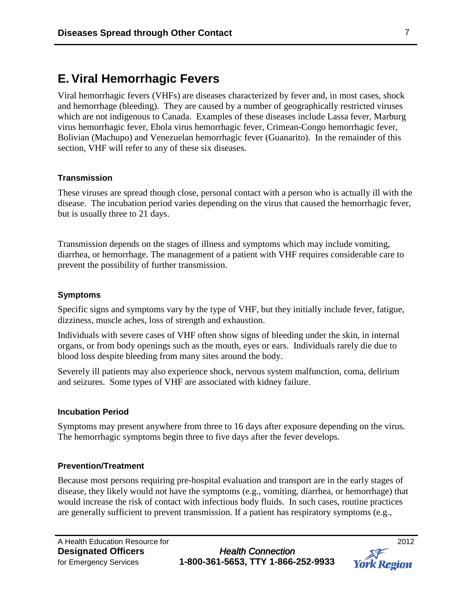## **E. Viral Hemorrhagic Fevers**

Viral hemorrhagic fevers (VHFs) are diseases characterized by fever and, in most cases, shock and hemorrhage (bleeding). They are caused by a number of geographically restricted viruses which are not indigenous to Canada. Examples of these diseases include Lassa fever, Marburg virus hemorrhagic fever, Ebola virus hemorrhagic fever, Crimean-Congo hemorrhagic fever, Bolivian (Machupo) and Venezuelan hemorrhagic fever (Guanarito). In the remainder of this section, VHF will refer to any of these six diseases.

#### **Transmission**

These viruses are spread though close, personal contact with a person who is actually ill with the disease. The incubation period varies depending on the virus that caused the hemorrhagic fever, but is usually three to 21 days.

Transmission depends on the stages of illness and symptoms which may include vomiting, diarrhea, or hemorrhage. The management of a patient with VHF requires considerable care to prevent the possibility of further transmission.

#### **Symptoms**

Specific signs and symptoms vary by the type of VHF, but they initially include fever, fatigue, dizziness, muscle aches, loss of strength and exhaustion.

Individuals with severe cases of VHF often show signs of bleeding under the skin, in internal organs, or from body openings such as the mouth, eyes or ears. Individuals rarely die due to blood loss despite bleeding from many sites around the body.

Severely ill patients may also experience shock, nervous system malfunction, coma, delirium and seizures. Some types of VHF are associated with kidney failure.

#### **Incubation Period**

Symptoms may present anywhere from three to 16 days after exposure depending on the virus. The hemorrhagic symptoms begin three to five days after the fever develops.

#### **Prevention/Treatment**

Because most persons requiring pre-hospital evaluation and transport are in the early stages of disease, they likely would not have the symptoms (e.g., vomiting, diarrhea, or hemorrhage) that would increase the risk of contact with infectious body fluids. In such cases, routine practices are generally sufficient to prevent transmission. If a patient has respiratory symptoms (e.g.,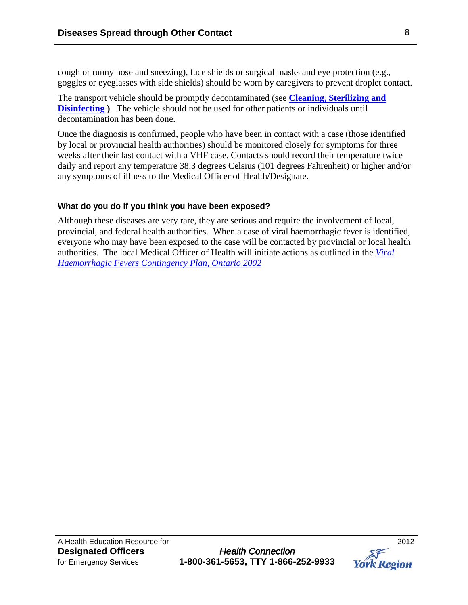cough or runny nose and sneezing), face shields or surgical masks and eye protection (e.g., goggles or eyeglasses with side shields) should be worn by caregivers to prevent droplet contact.

The transport vehicle should be promptly decontaminated (see **[Cleaning, Sterilizing and](http://www.york.ca/Services/Public+Health+and+Safety/Infectious+Diseases/DOP-Cleaning.htm)  [Disinfecting](http://www.york.ca/Services/Public+Health+and+Safety/Infectious+Diseases/DOP-Cleaning.htm) )**. The vehicle should not be used for other patients or individuals until decontamination has been done.

Once the diagnosis is confirmed, people who have been in contact with a case (those identified by local or provincial health authorities) should be monitored closely for symptoms for three weeks after their last contact with a VHF case. Contacts should record their temperature twice daily and report any temperature 38.3 degrees Celsius (101 degrees Fahrenheit) or higher and/or any symptoms of illness to the Medical Officer of Health/Designate.

### **What do you do if you think you have been exposed?**

Although these diseases are very rare, they are serious and require the involvement of local, provincial, and federal health authorities. When a case of viral haemorrhagic fever is identified, everyone who may have been exposed to the case will be contacted by provincial or local health authorities. The local Medical Officer of Health will initiate actions as outlined in the *[Viral](http://www.health.gov.on.ca/english/providers/program/emu/vhf/vhf_plan.pdf)  [Haemorrhagic Fevers Contingency Plan, Ontario 2002](http://www.health.gov.on.ca/english/providers/program/emu/vhf/vhf_plan.pdf)*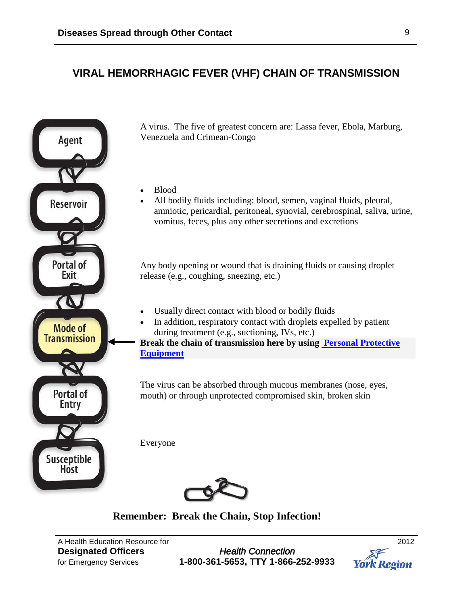## **VIRAL HEMORRHAGIC FEVER (VHF) CHAIN OF TRANSMISSION**



A virus. The five of greatest concern are: Lassa fever, Ebola, Marburg, Venezuela and Crimean-Congo

- Blood
	- All bodily fluids including: blood, semen, vaginal fluids, pleural, amniotic, pericardial, peritoneal, synovial, cerebrospinal, saliva, urine, vomitus, feces, plus any other secretions and excretions

Any body opening or wound that is draining fluids or causing droplet release (e.g., coughing, sneezing, etc.)

- Usually direct contact with blood or bodily fluids
- In addition, respiratory contact with droplets expelled by patient during treatment (e.g., suctioning, IVs, etc.)

**Break the chain of transmission here by using [Personal Protective](http://www.york.ca/Services/Public+Health+and+Safety/Infectious+Diseases/DOP-Routine+Practices+and+PPE.htm)  [Equipment](http://www.york.ca/Services/Public+Health+and+Safety/Infectious+Diseases/DOP-Routine+Practices+and+PPE.htm)**

The virus can be absorbed through mucous membranes (nose, eyes, mouth) or through unprotected compromised skin, broken skin

Everyone



## **Remember: Break the Chain, Stop Infection!**

A Health Education Resource for 2012

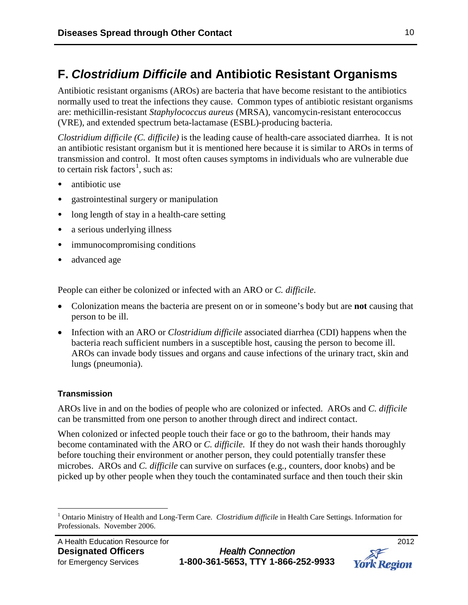# **F.** *Clostridium Difficile* **and Antibiotic Resistant Organisms**

Antibiotic resistant organisms (AROs) are bacteria that have become resistant to the antibiotics normally used to treat the infections they cause. Common types of antibiotic resistant organisms are: methicillin-resistant *Staphylococcus aureus* (MRSA), vancomycin-resistant enterococcus (VRE), and extended spectrum beta-lactamase (ESBL)-producing bacteria.

*Clostridium difficile (C. difficile)* is the leading cause of health-care associated diarrhea. It is not an antibiotic resistant organism but it is mentioned here because it is similar to AROs in terms of transmission and control. It most often causes symptoms in individuals who are vulnerable due to certain risk factors<sup>[1](#page-9-0)</sup>, such as:

- antibiotic use
- gastrointestinal surgery or manipulation
- long length of stay in a health-care setting
- a serious underlying illness
- immunocompromising conditions
- advanced age

People can either be colonized or infected with an ARO or *C. difficile*.

- Colonization means the bacteria are present on or in someone's body but are **not** causing that person to be ill.
- Infection with an ARO or *Clostridium difficile* associated diarrhea (CDI) happens when the bacteria reach sufficient numbers in a susceptible host, causing the person to become ill. AROs can invade body tissues and organs and cause infections of the urinary tract, skin and lungs (pneumonia).

### **Transmission**

AROs live in and on the bodies of people who are colonized or infected. AROs and *C. difficile* can be transmitted from one person to another through direct and indirect contact.

When colonized or infected people touch their face or go to the bathroom, their hands may become contaminated with the ARO or *C. difficile*. If they do not wash their hands thoroughly before touching their environment or another person, they could potentially transfer these microbes. AROs and *C. difficile* can survive on surfaces (e.g., counters, door knobs) and be picked up by other people when they touch the contaminated surface and then touch their skin

**York Region** 

<span id="page-9-0"></span> <sup>1</sup> Ontario Ministry of Health and Long-Term Care. *Clostridium difficile* in Health Care Settings. Information for Professionals. November 2006.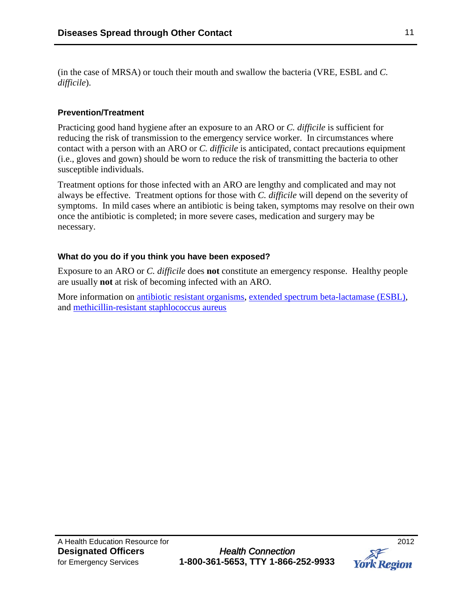(in the case of MRSA) or touch their mouth and swallow the bacteria (VRE, ESBL and *C. difficile*).

## **Prevention/Treatment**

Practicing good hand hygiene after an exposure to an ARO or *C. difficile* is sufficient for reducing the risk of transmission to the emergency service worker. In circumstances where contact with a person with an ARO or *C. difficile* is anticipated, contact precautions equipment (i.e., gloves and gown) should be worn to reduce the risk of transmitting the bacteria to other susceptible individuals.

Treatment options for those infected with an ARO are lengthy and complicated and may not always be effective. Treatment options for those with *C. difficile* will depend on the severity of symptoms. In mild cases where an antibiotic is being taken, symptoms may resolve on their own once the antibiotic is completed; in more severe cases, medication and surgery may be necessary.

### **What do you do if you think you have been exposed?**

Exposure to an ARO or *C. difficile* does **not** constitute an emergency response. Healthy people are usually **not** at risk of becoming infected with an ARO.

More information on [antibiotic resistant organisms,](http://www.york.ca/NR/rdonlyres/6datbmjoryywbjwz4h7qznkf6qvduktkqoimgrqhwxhsgkymxhxy37fsdrawtkyvvxeqwj7kzlrxg3svj6aflcr73a/ARO+Factsheet.pdf) [extended spectrum beta-lactamase \(ESBL\),](http://www.york.ca/NR/rdonlyres/xgmkn74jnhgl5ox6qixnbvcxy3lexguvjwc4vwcyfi6ceocfpcdagzazgl53cjadeouwr5gjs2rjxo37eeoq46mdkg/ESBL+Factsheet.pdf) and [methicillin-resistant staphlococcus aureus](http://www.york.ca/NR/rdonlyres/axzlqdjehgq5r3uj3bwpgzfjcdhscm2m4nip6pmkeggz4vm2yqv6d7u23pgeltkwd5mb5v4exsvzqwr2al4yvegnof/MRSA+Factsheet.pdf)